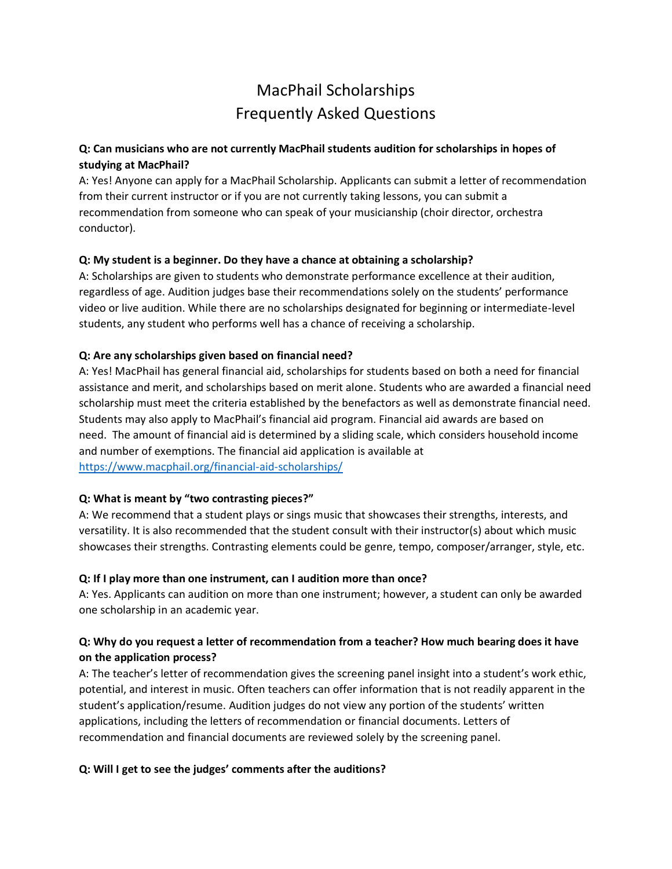# MacPhail Scholarships Frequently Asked Questions

# **Q: Can musicians who are not currently MacPhail students audition for scholarships in hopes of studying at MacPhail?**

A: Yes! Anyone can apply for a MacPhail Scholarship. Applicants can submit a letter of recommendation from their current instructor or if you are not currently taking lessons, you can submit a recommendation from someone who can speak of your musicianship (choir director, orchestra conductor).

## **Q: My student is a beginner. Do they have a chance at obtaining a scholarship?**

A: Scholarships are given to students who demonstrate performance excellence at their audition, regardless of age. Audition judges base their recommendations solely on the students' performance video or live audition. While there are no scholarships designated for beginning or intermediate-level students, any student who performs well has a chance of receiving a scholarship.

#### **Q: Are any scholarships given based on financial need?**

A: Yes! MacPhail has general financial aid, scholarships for students based on both a need for financial assistance and merit, and scholarships based on merit alone. Students who are awarded a financial need scholarship must meet the criteria established by the benefactors as well as demonstrate financial need. Students may also apply to MacPhail's financial aid program. Financial aid awards are based on need. The amount of financial aid is determined by a sliding scale, which considers household income and number of exemptions. The financial aid application is available at <https://www.macphail.org/financial-aid-scholarships/>

#### **Q: What is meant by "two contrasting pieces?"**

A: We recommend that a student plays or sings music that showcases their strengths, interests, and versatility. It is also recommended that the student consult with their instructor(s) about which music showcases their strengths. Contrasting elements could be genre, tempo, composer/arranger, style, etc.

#### **Q: If I play more than one instrument, can I audition more than once?**

A: Yes. Applicants can audition on more than one instrument; however, a student can only be awarded one scholarship in an academic year.

# **Q: Why do you request a letter of recommendation from a teacher? How much bearing does it have on the application process?**

A: The teacher's letter of recommendation gives the screening panel insight into a student's work ethic, potential, and interest in music. Often teachers can offer information that is not readily apparent in the student's application/resume. Audition judges do not view any portion of the students' written applications, including the letters of recommendation or financial documents. Letters of recommendation and financial documents are reviewed solely by the screening panel.

## **Q: Will I get to see the judges' comments after the auditions?**